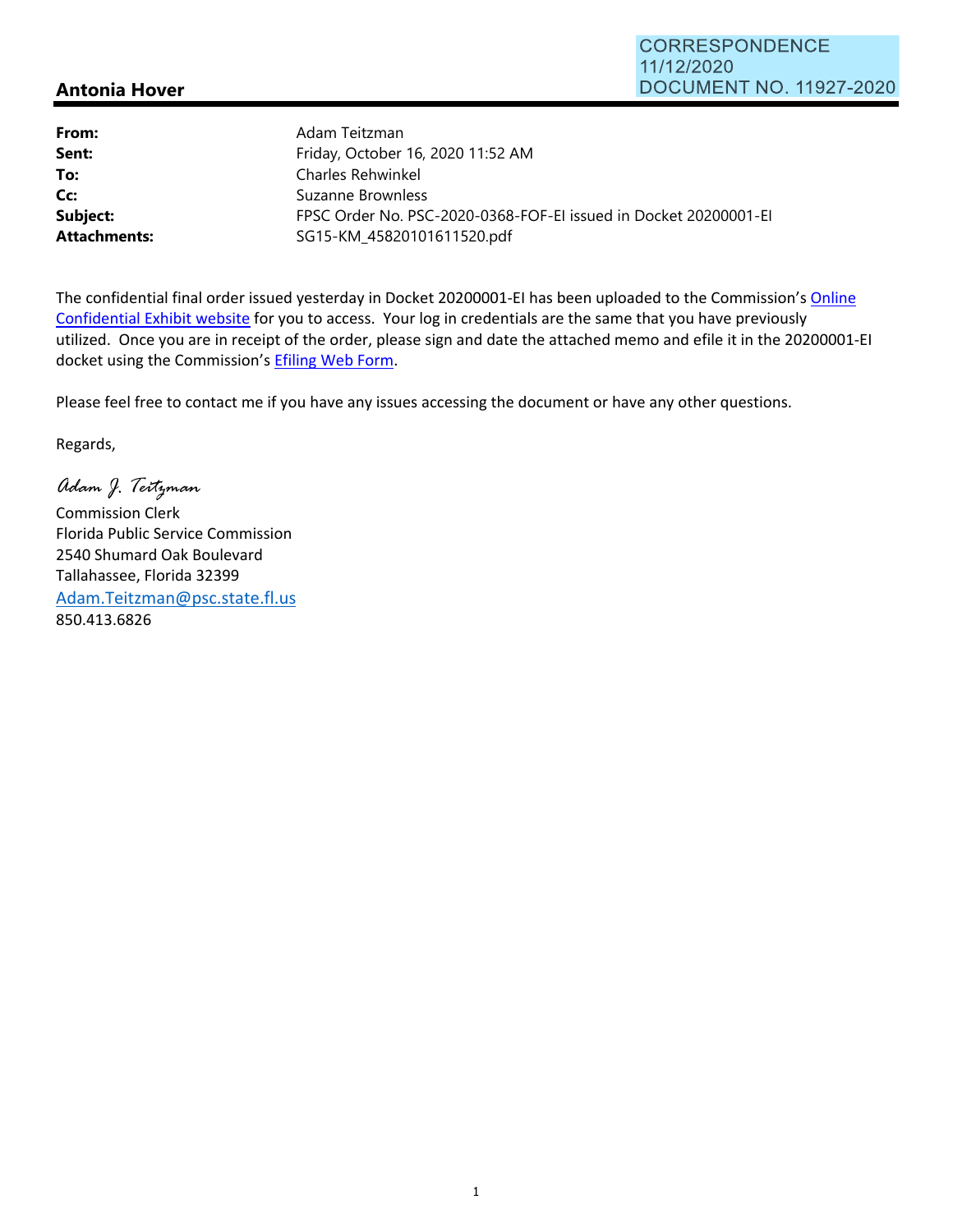## **Antonia Hover**

| From:               | Adam Teitzman                                                    |
|---------------------|------------------------------------------------------------------|
| Sent:               | Friday, October 16, 2020 11:52 AM                                |
| To:                 | Charles Rehwinkel                                                |
| Cc:                 | Suzanne Brownless                                                |
| Subject:            | FPSC Order No. PSC-2020-0368-FOF-EI issued in Docket 20200001-EI |
| <b>Attachments:</b> | SG15-KM 45820101611520.pdf                                       |

The confidential final order issued yesterday in Docket 20200001-EI has been uploaded to the Commission's Online Confidential Exhibit website for you to access. Your log in credentials are the same that you have previously utilized. Once you are in receipt of the order, please sign and date the attached memo and efile it in the 20200001‐EI docket using the Commission's Efiling Web Form.

Please feel free to contact me if you have any issues accessing the document or have any other questions.

Regards,

*Adam J. Teitzman* 

Commission Clerk Florida Public Service Commission 2540 Shumard Oak Boulevard Tallahassee, Florida 32399 Adam.Teitzman@psc.state.fl.us 850.413.6826